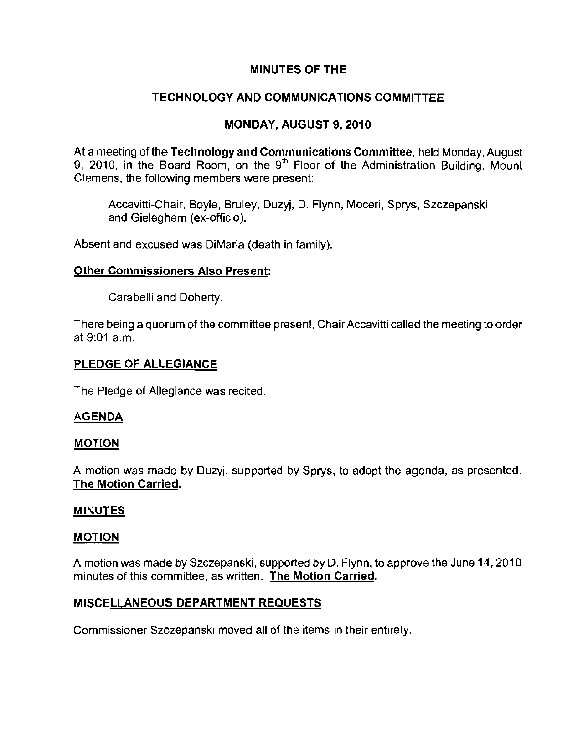# MINUTES OF THE

# TECHNOLOGY AND COMMUNICATIONS COMMITTEE

# MONDAY, AUGUST 9, 2010

At a meeting of the Technology and Communications Committee, held Monday, August 9, 2010, in the Board Room, on the  $9<sup>th</sup>$  Floor of the Administration Building, Mount **Clemens, the following members were present:** 

Accavitti-Chair, Boyle, Bruley, Duzyj, D, Flynn, Moceri, Sprys, Szczepanski and Gieleghem (ex-officio),

Absent and excused was DiMaria (death in family),

## Other Commissioners Also Present:

Carabelli and Doherty.

There being a quorum of the committee present, Chair Accavitti called the meeting to order at 9:01 a.m.

## PLEDGE OF ALLEGIANCE

The Pledge of Allegiance was recited.

## AGENDA

## MOTION

A motion was made by Duzyj, supported by Sprys, to adopt the agenda, as presented. The Motion Carried.

## MINUTES

#### MOTION

A motion was made by Szczepanski, supported by D. Flynn, to approve the June 14, 2010 **minutes of this committee, as written. The Motion Carried.** 

## MISCELLANEOUS DEPARTMENT REQUESTS

**Commissioner Szczepanski moved all of the items in their entirely.**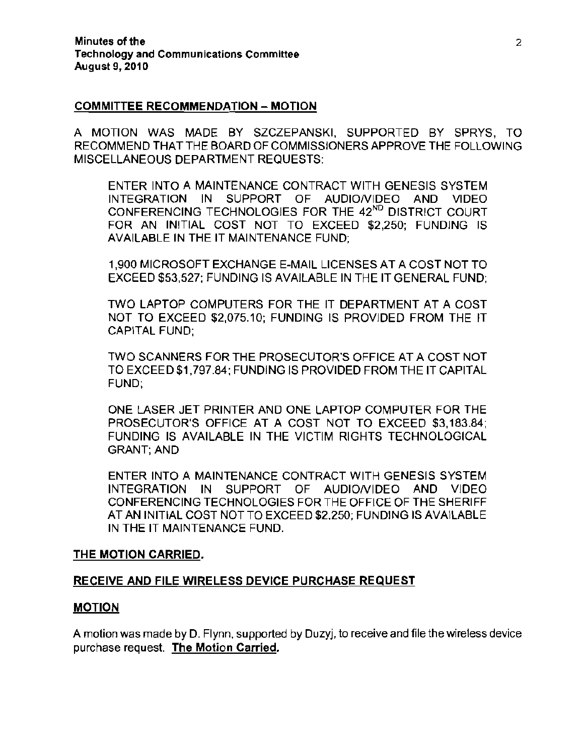### COMMITTEE RECOMMENDATION - MOTION

A MOTION WAS MADE BY SZCZEPANSKI, SUPPORTED BY SPRYS, TO RECOMMEND THAT THE BOARD OF COMMISSIONERS APPROVE THE FOLLOWING MISCELLANEOUS DEPARTMENT REQUESTS:

ENTER INTO A MAINTENANCE CONTRACT WITH GENESIS SYSTEM INTEGRATION IN SUPPORT OF AUDIONIDEO AND VIDEO CONFERENCING TECHNOLOGIES FOR THE 42<sup>ND</sup> DISTRICT COURT FOR AN INITIAL COST NOT TO EXCEED \$2,250; FUNDING IS AVAILABLE IN THE IT MAINTENANCE FUND;

1,900 MICROSOFT EXCHANGE E-MAIL LICENSES AT A COST NOT TO EXCEED \$53,527; FUNDING IS AVAILABLE IN THE IT GENERAL FUND;

TWO LAPTOP COMPUTERS FOR THE IT DEPARTMENT AT A COST NOT TO EXCEED \$2,075.10; FUNDING IS PROVIDED FROM THE IT CAPITAL FUND;

TWO SCANNERS FOR THE PROSECUTOR'S OFFICE AT A COST NOT TO EXCEED \$1 ,797.84; FUNDING IS PROVIDED FROM THE IT CAPITAL FUND;

ONE LASER JET PRINTER AND ONE LAPTOP COMPUTER FOR THE PROSECUTOR'S OFFICE AT A COST NOT TO EXCEED \$3,183.84; FUNDING IS AVAILABLE IN THE VICTIM RIGHTS TECHNOLOGICAL GRANT; AND

ENTER INTO A MAINTENANCE CONTRACT WITH GENESIS SYSTEM INTEGRATION IN SUPPORT OF AUDIONIDEO AND VIDEO CONFERENCING TECHNOLOGIES FOR THE OFFICE OF THE SHERIFF AT AN INITIAL COST NOT TO EXCEED \$2,250; FUNDING IS AVAILABLE IN THE IT MAINTENANCE FUND.

#### THE MOTION CARRIED.

#### RECEIVE AND FILE WIRELESS DEVICE PURCHASE REQUEST

#### MOTION

A motion was made by D, Flynn, supported by Duzyj, to receive and file the wireless device purchase request. The Motion Carried.